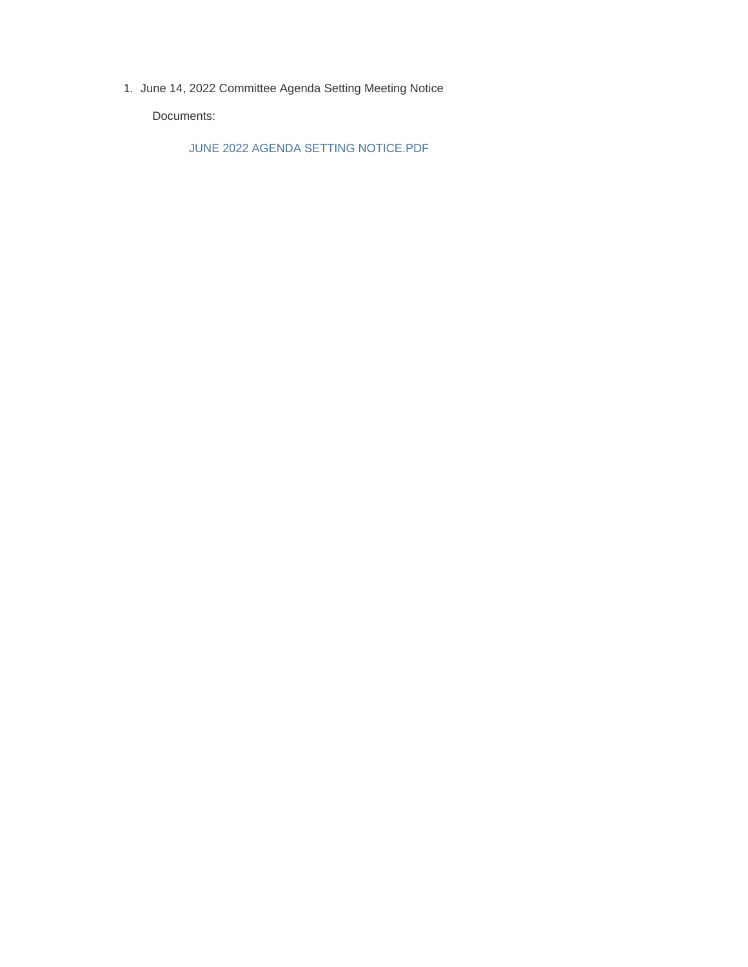1. June 14, 2022 Committee Agenda Setting Meeting Notice

Documents:

JUNE 2022 AGENDA SETTING NOTICE.PDF